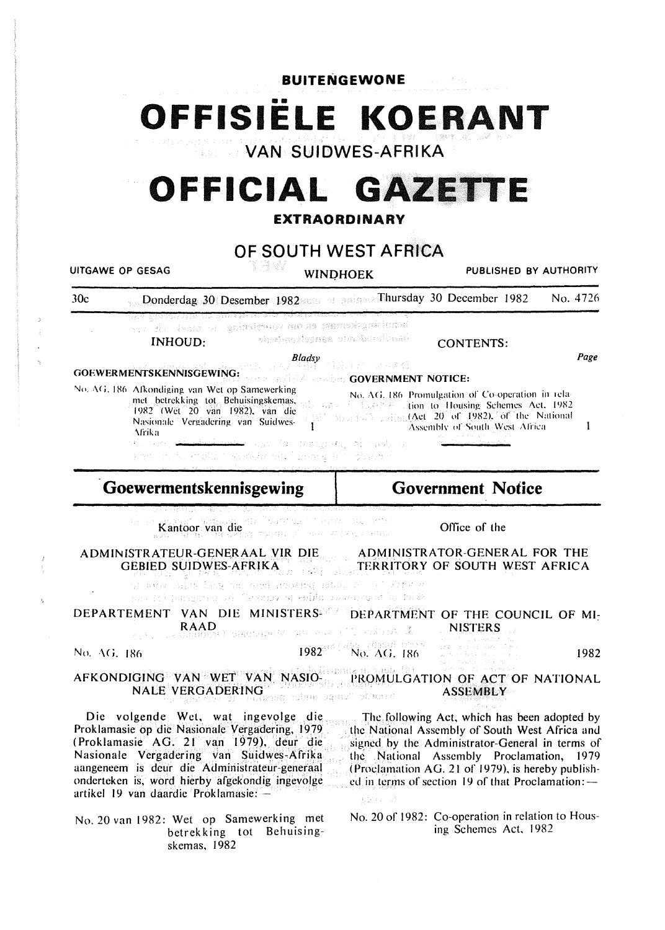**BUITENGEWONE** 

•• **OFFISIELE KOERANT** 

**VAN SUIDWES-AFRIKA** 

# **OFFICIAL GAZETTE**

### **EXTRAORDINARY**

## **OF SOUTH WEST AFRICA**

UITGAWE OP GESAG **WINDHOEK** PUBLISHED BY AUTHORITY

30c **Donderdag 30 Desember 1982** and state **Thursday 30 December 1982** No. 4726

en komunist Albumistino un vallenderinging.<br>In de dana Albumistino un vallenderinging iandhoutchic sanglemining INHOUD:

CONTENTS:

*Page* 

 $\mathbf{I}$ 

# *Bladsy*  GOEWERMENTSKENNISGEWiNG: GOVERNMENT NOTICE:

No. AG, 186 Afkondiging van Wet op Samewerking l9R2 !Wet *10* van 1982). van die Nasionalc Vcrgadcring van Suidwcs·

\frika

Alkondiging van Wet op Samewerking<br>met betrekking tot Behuisingskemas. Martin in 1982 is de later alion to Housing Schemes, Act, 1982 lion to llousing Schemes Act. 1982  $1$  (Act  $20$  of 1982), of the National Assembly of South West Africa

wor for margner, alound on حواجد enato il la produzionem alumnia i una primo

# **Goewermentskennisgewing**

**Government Notice** 

Kantoor van die <sup>een boundus van die</sup> van die van

Office of the

ADMII\IISTRATEUR-GENERAAL VIR DIE GEBIED SUJDWES:AFRIKA A[)MINISTRATOR-GENERAL FOR THE TERRITORY OF SOUTH WEST AFRICA

of awarding the an oud moning minor of therew

particle learned and flashed on additional condition this?

DEPARTEMENT VAN DIE MINISTERS<sup>2007</sup> DEPARTMENT OF THE COUNCIL OF MI- $\text{RAAD}$  siscretively because if  $\mathbb C$  space  $\mathbb R$  . NISTERS

No. AG. 186 **1982**<sup> $\frac{3}{2}$ ( $\frac{3}{2}$ )</sup> **No. AG. 186** 1982

spring at

AFKONDIGING VAN WET VAN NASIO- PROMULGATION OF ACT OF NATIONAL NALE VERGADERING . . ASSEMBLY

Die volgende Wet, wat ingevolge die Proklamasie op die Nasionale Vergadering, 1979 ( Proklamasie AG. 21 van 1979), deur die Nasionale Vergadering van Suidwes-Afrika aangeneem is deur die Administrateur-generaal onderteken is, word hierby afgekondig ingevolge artikel 19 van daardie Proklamasie: -

No. 20 van 1982: Wet op Samewerking met bctrekking tot Behuisingskemas, 1982

The. following Act, which has been adopted by the National Assembly of South West Africa and signed by the Administrator-General in terms of the National Assembly Proclamation, 1979 (Proclamation AG. 21 of 1979), is hereby published in terms of section 19 of that Proclamation: $-$ 

No. 20 of 1982: Co-operation in relation to Housing Schemes Act, 1982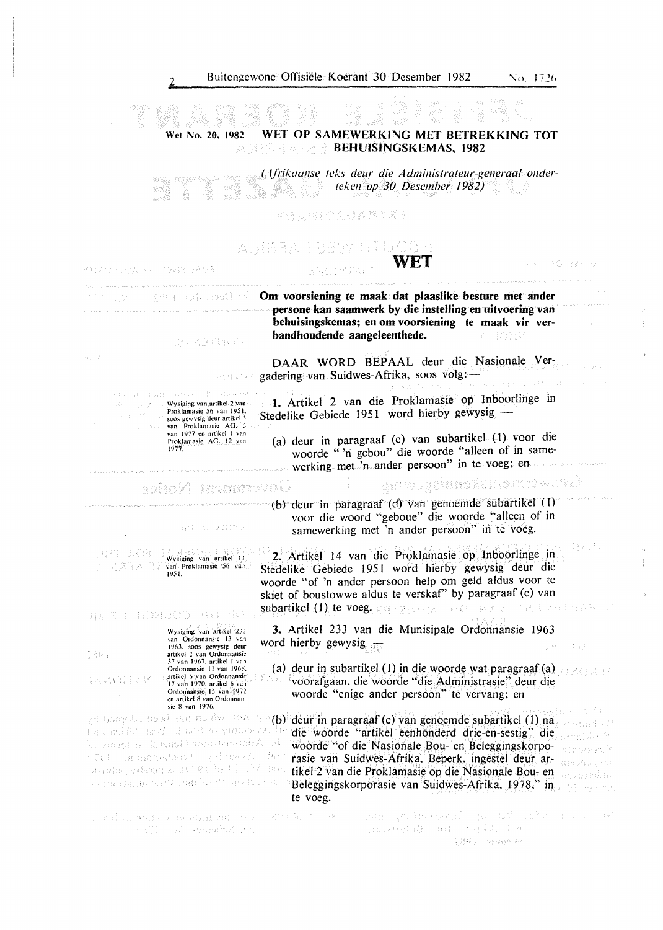#### Wei No. 20. 1982 WET OP SAMEWERKING MET BETREKKING TOT 클유널 시 나위를 BEHUISINGSKEMAS, 1982

*(A./i"ikaanse leks deur die Administrateur-generaal onderteken op 30 Desember 1982)*  eri

YRAKICANIXE

#### aginaa tabw htuos r **WET SACHONY**

YHADATUA YA GENEDAUS

10 December 1993 - No

Om voorsiening te maak dat plaaslike besture met ander persone kan saamwerk by die instelling en uitvoering van behuisingskemas; en om voorsiening te maak vir verbandhoudende aangeleenthede.

DAAR WORD BEPAAL deur die Nasionale Vergadering van Suidwes-Afrika, soos volg:-ESTRATAV

> **1.** Artikel 2 van die Proklamasie op Inboorlinge in Stedelike Gebiede 1951 word hierby gewysig -

(a) deur in paragraaf (c) van subartikel (1) voor die woorde " 'n gebou" die woorde "alleen of in samewerking met 'n ander persoon" in te voeg; en

ignie w produkcji prowodu za jednik

 $-47.4$ 

VATEV CT

三手环 电无星控接方程序式

(b) deur in paragraaf (d) van genoemde subartikel (I) voor die woord "geboue" die woorde "aileen of in samewerking met 'n ander persoon'' in te voeg.

2. Artikel 14 van die Proklamasie op Inboorlinge in Stedelike Gebiede 1951 word hierby gewysig deur die woorde "of 'n ander persoon help om geld aldus voor te skiet of boustowwe aldus te verskaf' by paragraaf (c) van

3. Artikel 233 van die Munisipale Ordonnansie 1963

#### *intmavoi.* eoin F

hai: ho bo消耗)

4117 208 Wysiging van artikel 14<br>van Proklamasic 56 van<br>1951. 2.1313939.A

NE THE CONSTRUCTS OF ALL

|                         | Wysiging van artikel 233   |
|-------------------------|----------------------------|
|                         | van Ordonnansie 13 van     |
|                         | 1963, soos gewysig deur    |
| 1391<br>(1) 2014年11月30日 | artikel 2 van Ordonnansie  |
|                         | 37 van 1967, artikel I van |
|                         | Ordonnansie 11 van 1968,   |
|                         |                            |
|                         | artikel 6 van Ordonnansie  |
|                         | Ordonnansie 15 van 1972    |
|                         | en artikel 8 van Ordonnan- |
|                         | sie 8 van 1976.            |

(Tv) animalisation (Hanner

word hierby gewysig 少秋 (今後) (1) (a) deur in subartikel (1) in die woorde wat paragraaf (a) voorafgaan. die woorde "die Administrasie" deur die

woorde "enige ander persoon" te vervang; en

subartikel (1) te voeg. gegeg gan met te

(d) beneetes tood asn diadw and an (b) deur in paragraaf (c) van genoemde subartikel (1) na aanmal sterft die woorde "artikel eenhonderd drie-en-sestig" die maaktere ho ampy al IzrancO someteninisA al' \voorde "of die Nasionale Bou- en Beleggingskorpoolanoresk ់រំដែររា rasie van Suidwes-Afrika: Beperk. ingestel deur arapmaqso. stablished and speak to the seal mail tikel 2 van die Proklamasie op die Nasionale Bou- en makernam s casua adjacii millie Propose Beleggingskorporasie van Suidwes-Afrika, 1978," in Franzesch te voeg.

and its generate some operator  $\mathbb{C}Z$  and  $\mathbb{C}Z$  are **SAN Summer Add NE** 

s and applications do not determine and garandod an qualquich SBRE CHARTERY

 $\sim$  1  $\cdot$ \Vysiging van.artikel 2 van Proklamasie 56 van 1951.

soos gewysig deur artikel 3<br>van 1977 en artikel I van<br>Proklamasie AG. 12 van<br>Proklamasie AG. 12 van<br>1977.

会议和事件()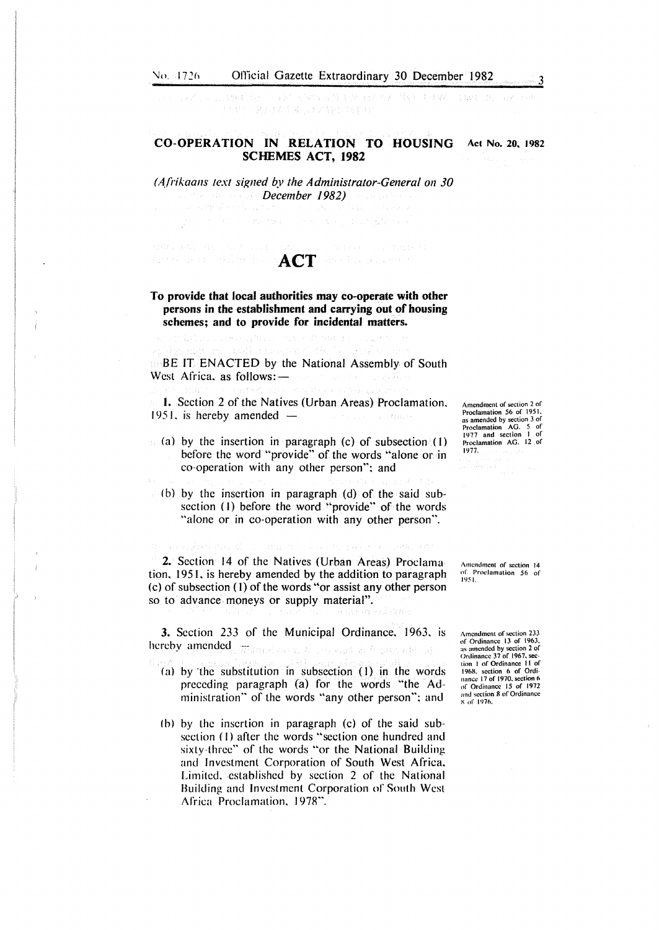entrante al celes

a contractive

No. 1726 **OlTicial Gazette Extraordinary 30 December 1982**<br>30 **December 1982** 30 **30 September 200 September 200 September** 30 **30 September 30** 

#### **CO-OPERATION IN RELATION TO HOUSING Act** No. **20. 1982 SCHEMES ACT, 1982**

*(Afrikaans text signed by the Administrator-General on 30 December* **1** *982)* 

The China and More and the China and China a

# **ACT**

#### **To provide that local authorities may co-operate with other persons in the establishment and carrying out of housing schemes; and to provide for incidental matters.**

state of property.

BE IT ENACTED by the National Assembly of South West Africa. as follows: $-$ 

**I.** Section 2 of the Natives (Urban Areas) Proclamation.  $1951$ , is hereby amended  $\mathbb{P}^{1,1} \times \mathbb{P}^{1,1} \times \mathbb{P}^{1,1} \times \mathbb{P}^{1,1}$  Barrier

- (a) by the insertion in paragraph (c) of subsection  $(1)$ before the word "provide" of the words "alone or in co-operation with any other person": and
	- (b) by the insertion in paragraph (d) of the said subsection (I) before the word "provide" of the words "alone or in co-operation with any other person".

**2.** Section 14 of the Natives (Urban Areas) Proclama tion, 1951, is hereby amended by the addition to paragraph (c) of subsection (I) of the words "or assist any other person so to advance moneys or supply material".

**3.** Section 233 of the Municipal Ordinance, 1963. 1s hereby amended. Warnel cases 2010 and an Equipment of a

- (a) by 'the substitution in subsection (I) in the words preceding paragraph (a) for the words "the Administration" of the words "any other person": and
- (b) by the insertion in paragraph (c) of the said subsection (I) after the words "section one hundred and sixty-three" of the words "or the National Building and Investment Corporation of South West Africa. Limited. established by section 2 of the National Building and Investment Corporation of South West Africa Proclamation, 1978".

Amendment of section 2 of Proclamation 56 of 1951. as amended by section 3 of Proclamation AG. 5 of 1977 and section I of Proclamation AG. 12 of 1977.

**Amendment of section 14 of Proclamation 56 of**  IY51.

Amendment of section 233 or Ordinance 13 of 1963. **as mncnded by section 2 of**  Ordinance 37 of 1967. sec· lion I or Ordinance II of 1968. section 6 of Ordi-<br>nance 17 of 1970, section 6 of Ordinance 15 of 1972 **and scclion R of Ordinance X of 1970.**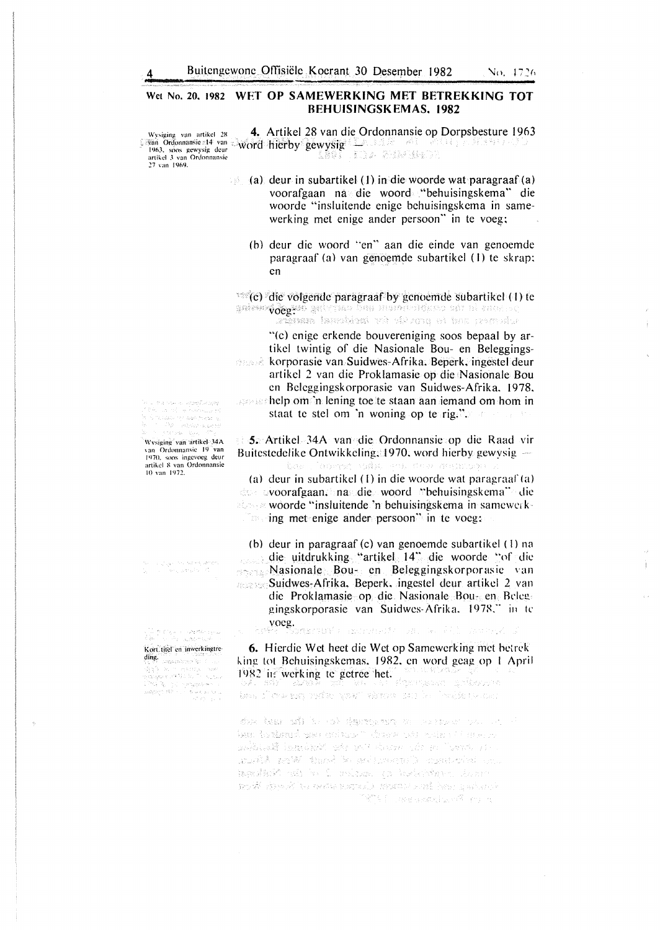#### Wet No. 20. 1982 WET OP SAMEWERKING MET BETREKKING TOT BEHUISINGSKEMAS. 1982

Wysiging van artikel 28 **4.** Artikel 28 van die Ordonnansie op Dorpsbesture 1963<br>
<sup>1963</sup> 'en ordonnansie 14 van Aword Hierby<sup>c</sup> gewysig<sup>e | Deuts soos gcwystige | 1903. soos gewystel | 1903. soos gcwystige | talentiel to </sup> aarlikch Automaanse EFF van 1963, soos gewysig deur 27 van 1969.

> (a) deur in subartikel (1) in die woorde wat paragraaf (a) voorafgaan na die woord "behuisingskema" die woorde "insluitendc enigc bchuisingskcma in samewerking met enige ander persoon" in te voeg;

(b) deur die woord "en" aan die einde van genoemde paragraaf (a) van genoemde subartikel (I) te skrap: en

(c) die volgeiide paragraaf by genoenide subartikel (I) te oesans in the couptivistions and carrying b**urge o**versing.<br>whereas and to provide for mekional matters.

"(c) cnige erkende bouvereniging soos bepaal by artikcl twintig of die Nasionale Bou- en Beleggingskorporasie van-Suidwes-Afrika; Beperk. ingestel deur artikcl *2* van die Proklamasie op die Nasionale Bou en Beleggingskorporasie van Suidwes-Afrika. 1978.

*Fore* thelp om 'n lening toe te staan aan iemand om hom in staat te stel om 'n woning op te rig.".

*5.* Artikel 34A van die Ordonnansie op die Raad vir Buitestedelike Ontwikkeling. 1970. word hierby gewysig en propositi sedas.

(a) deur in subartikel  $(1)$  in die woorde wat paragraaf  $(a)$  $\infty$  voorafgaan. na die woord "behuisingskema" die  $\mathbb{R}$  woorde "insluitende 'n behuisingskema in samewerking met enige ander persoon" in te voeg:

(b) deur in paragraaf (c) van genoemde subartikel (I) na die uitdrukking "artikel 14" die woorde "of die Nasionale Bou- en Beleggingskorporasic \·an Suidwes-Afrika. Beperk. ingestel deur artikel 2 van die Proklamasie op die Nasionale Bou- en Bclce. gingskorporasie van Suidwes-Afrika. 1978." in te voeg.

eneth and someone are

6. Hierdie Wet heet die Wet op Samewerking met bctrek king tot Behuisingskemas. 1982, en word geag op 1 April 1982 it; werking te getree het. ค์ทุยายุยลงๆ ผู้เพิ่งหนาด

is the second war will be bailed at

SAR REEL SON IS ON SECTION TO A DESIGN TO CONTROL ken tottsted gan solver Tubaow odt wie 14 meter ashual hayaki wa mwana wa mshair anglå neW that homeloven locations on made regularis to contrate of the Machines mobilità està comunicata de la controle del controle 735 (*) และเอส*มนครั้งกวาง

.<br>Tha construction of .<br>สรริมพิมา (ร. 64) na nova Wysiging van artikel 34A van Ordonnansic 19 van<br>1970, soos ingevoeg deur artikel 8 van Ordonnansie<br>10 van 1972.

i well

a Migranga ni katenderiya.<br>Aktor a shekara mash Kort titel en inwerkingtre- $\dim_{\mathbb{C}}$  .  $\limsup_{n\to\infty} \limsup_{n\to\infty} \mathbb{E}[\log n]$ ali ya Kusini mwaka<br>Matuka 1970 alio i<br>Samar<br>Suurtaan 

ţ

÷